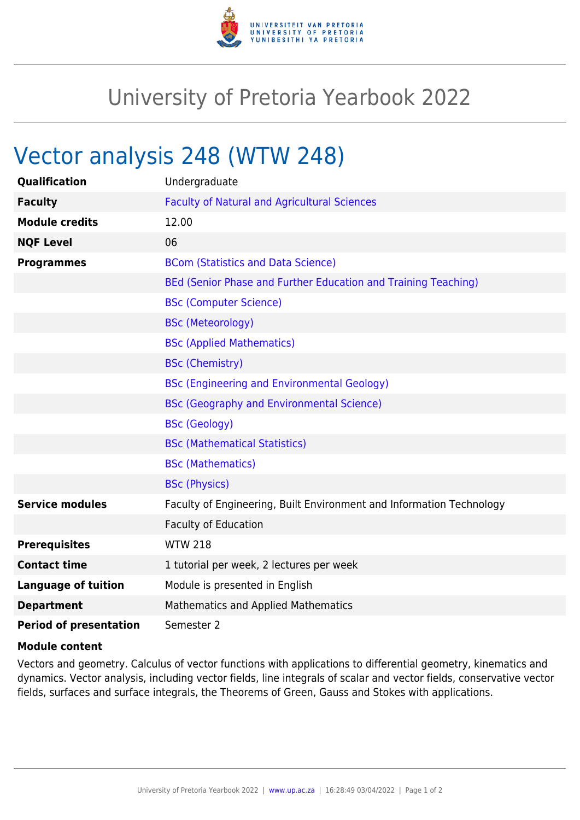

## University of Pretoria Yearbook 2022

## Vector analysis 248 (WTW 248)

| <b>Qualification</b>          | Undergraduate                                                        |
|-------------------------------|----------------------------------------------------------------------|
| <b>Faculty</b>                | <b>Faculty of Natural and Agricultural Sciences</b>                  |
| <b>Module credits</b>         | 12.00                                                                |
| <b>NQF Level</b>              | 06                                                                   |
| <b>Programmes</b>             | <b>BCom (Statistics and Data Science)</b>                            |
|                               | BEd (Senior Phase and Further Education and Training Teaching)       |
|                               | <b>BSc (Computer Science)</b>                                        |
|                               | <b>BSc (Meteorology)</b>                                             |
|                               | <b>BSc (Applied Mathematics)</b>                                     |
|                               | <b>BSc (Chemistry)</b>                                               |
|                               | <b>BSc (Engineering and Environmental Geology)</b>                   |
|                               | <b>BSc (Geography and Environmental Science)</b>                     |
|                               | <b>BSc (Geology)</b>                                                 |
|                               | <b>BSc (Mathematical Statistics)</b>                                 |
|                               | <b>BSc (Mathematics)</b>                                             |
|                               | <b>BSc (Physics)</b>                                                 |
| <b>Service modules</b>        | Faculty of Engineering, Built Environment and Information Technology |
|                               | Faculty of Education                                                 |
| <b>Prerequisites</b>          | <b>WTW 218</b>                                                       |
| <b>Contact time</b>           | 1 tutorial per week, 2 lectures per week                             |
| <b>Language of tuition</b>    | Module is presented in English                                       |
| <b>Department</b>             | Mathematics and Applied Mathematics                                  |
| <b>Period of presentation</b> | Semester 2                                                           |

## **Module content**

Vectors and geometry. Calculus of vector functions with applications to differential geometry, kinematics and dynamics. Vector analysis, including vector fields, line integrals of scalar and vector fields, conservative vector fields, surfaces and surface integrals, the Theorems of Green, Gauss and Stokes with applications.